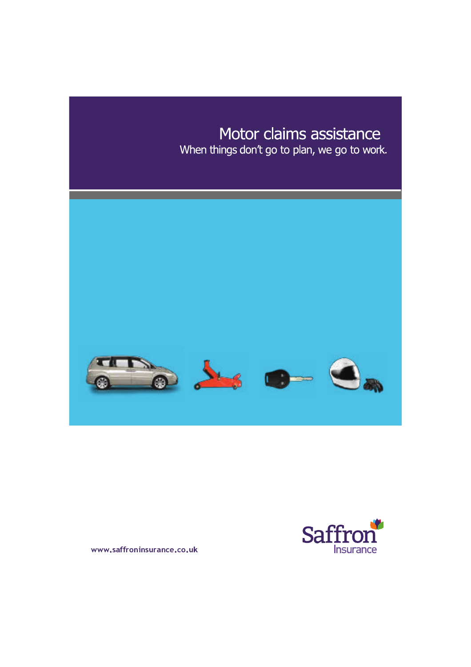# Motor claims assistance

When things don't go to plan, we go to work.





www.saffroninsurance.co.uk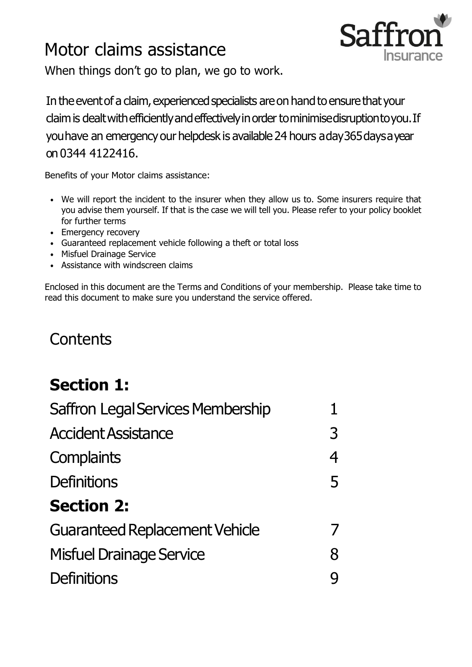# Motor claims assistance



When things don't go to plan, we go to work.

In the event of a claim, experienced specialists are on hand to ensure that your claim is dealt with efficiently and effectively in order to minimise disruption to you. If youhave an emergency our helpdesk is available 24 hours aday365daysayear on 0344 4122416.

Benefits of your Motor claims assistance:

- We will report the incident to the insurer when they allow us to. Some insurers require that you advise them yourself. If that is the case we will tell you. Please refer to your policy booklet for further terms
- Emergency recovery
- Guaranteed replacement vehicle following a theft or total loss
- Misfuel Drainage Service
- Assistance with windscreen claims

Enclosed in this document are the Terms and Conditions of your membership. Please take time to read this document to make sure you understand the service offered.

# **Contents**

# **Section 1:**

| <b>Saffron Legal Services Membership</b> |   |
|------------------------------------------|---|
| <b>Accident Assistance</b>               | 3 |
| <b>Complaints</b>                        |   |
| Definitions                              | 5 |
| <b>Section 2:</b>                        |   |
| <b>Guaranteed Replacement Vehicle</b>    |   |
| <b>Misfuel Drainage Service</b>          | 8 |
| Definitions                              |   |
|                                          |   |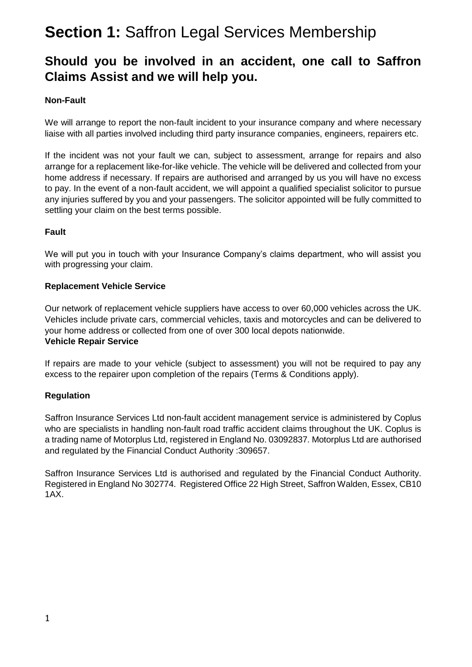## **Section 1:** Saffron Legal Services Membership

### **Should you be involved in an accident, one call to Saffron Claims Assist and we will help you.**

### **Non-Fault**

We will arrange to report the non-fault incident to your insurance company and where necessary liaise with all parties involved including third party insurance companies, engineers, repairers etc.

If the incident was not your fault we can, subject to assessment, arrange for repairs and also arrange for a replacement like-for-like vehicle. The vehicle will be delivered and collected from your home address if necessary. If repairs are authorised and arranged by us you will have no excess to pay. In the event of a non-fault accident, we will appoint a qualified specialist solicitor to pursue any injuries suffered by you and your passengers. The solicitor appointed will be fully committed to settling your claim on the best terms possible.

### **Fault**

We will put you in touch with your Insurance Company's claims department, who will assist you with progressing your claim.

### **Replacement Vehicle Service**

Our network of replacement vehicle suppliers have access to over 60,000 vehicles across the UK. Vehicles include private cars, commercial vehicles, taxis and motorcycles and can be delivered to your home address or collected from one of over 300 local depots nationwide. **Vehicle Repair Service**

If repairs are made to your vehicle (subject to assessment) you will not be required to pay any excess to the repairer upon completion of the repairs (Terms & Conditions apply).

### **Regulation**

Saffron Insurance Services Ltd non-fault accident management service is administered by Coplus who are specialists in handling non-fault road traffic accident claims throughout the UK. Coplus is a trading name of Motorplus Ltd, registered in England No. 03092837. Motorplus Ltd are authorised and regulated by the Financial Conduct Authority :309657.

Saffron Insurance Services Ltd is authorised and regulated by the Financial Conduct Authority. Registered in England No 302774. Registered Office 22 High Street, Saffron Walden, Essex, CB10 1AX.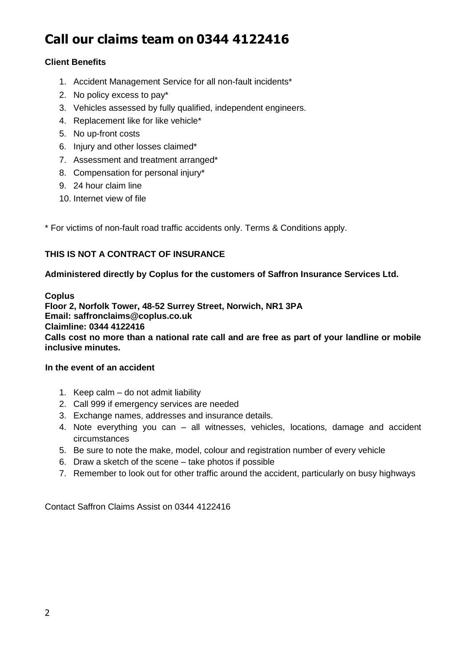## **Call our claims team on 0344 4122416**

### **Client Benefits**

- 1. Accident Management Service for all non-fault incidents\*
- 2. No policy excess to pay\*
- 3. Vehicles assessed by fully qualified, independent engineers.
- 4. Replacement like for like vehicle\*
- 5. No up-front costs
- 6. Injury and other losses claimed\*
- 7. Assessment and treatment arranged\*
- 8. Compensation for personal injury\*
- 9. 24 hour claim line
- 10. Internet view of file

\* For victims of non-fault road traffic accidents only. Terms & Conditions apply.

### **THIS IS NOT A CONTRACT OF INSURANCE**

### **Administered directly by Coplus for the customers of Saffron Insurance Services Ltd.**

**Coplus Floor 2, Norfolk Tower, 48-52 Surrey Street, Norwich, NR1 3PA Email: saffronclaims@coplus.co.uk Claimline: 0344 4122416 Calls cost no more than a national rate call and are free as part of your landline or mobile inclusive minutes.**

### **In the event of an accident**

- 1. Keep calm do not admit liability
- 2. Call 999 if emergency services are needed
- 3. Exchange names, addresses and insurance details.
- 4. Note everything you can all witnesses, vehicles, locations, damage and accident circumstances
- 5. Be sure to note the make, model, colour and registration number of every vehicle
- 6. Draw a sketch of the scene take photos if possible
- 7. Remember to look out for other traffic around the accident, particularly on busy highways

Contact Saffron Claims Assist on 0344 4122416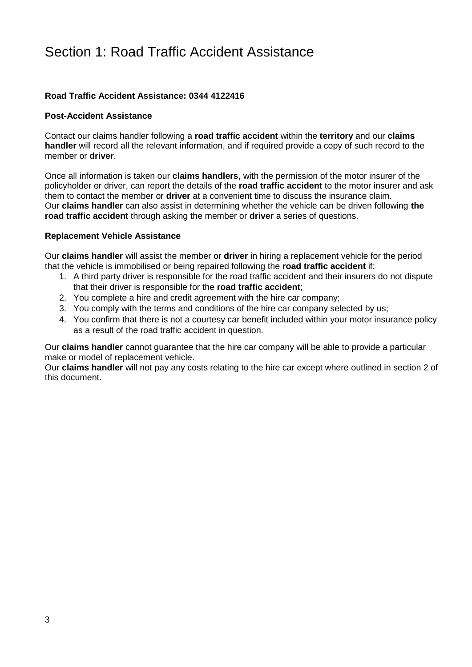### Section 1: Road Traffic Accident Assistance

### **Road Traffic Accident Assistance: 0344 4122416**

#### **Post-Accident Assistance**

Contact our claims handler following a **road traffic accident** within the **territory** and our **claims handler** will record all the relevant information, and if required provide a copy of such record to the member or **driver**.

Once all information is taken our **claims handlers**, with the permission of the motor insurer of the policyholder or driver, can report the details of the **road traffic accident** to the motor insurer and ask them to contact the member or **driver** at a convenient time to discuss the insurance claim. Our **claims handler** can also assist in determining whether the vehicle can be driven following **the road traffic accident** through asking the member or **driver** a series of questions.

#### **Replacement Vehicle Assistance**

Our **claims handler** will assist the member or **driver** in hiring a replacement vehicle for the period that the vehicle is immobilised or being repaired following the **road traffic accident** if:

- 1. A third party driver is responsible for the road traffic accident and their insurers do not dispute that their driver is responsible for the **road traffic accident**;
- 2. You complete a hire and credit agreement with the hire car company;
- 3. You comply with the terms and conditions of the hire car company selected by us;
- 4. You confirm that there is not a courtesy car benefit included within your motor insurance policy as a result of the road traffic accident in question.

Our **claims handler** cannot guarantee that the hire car company will be able to provide a particular make or model of replacement vehicle.

Our **claims handler** will not pay any costs relating to the hire car except where outlined in section 2 of this document.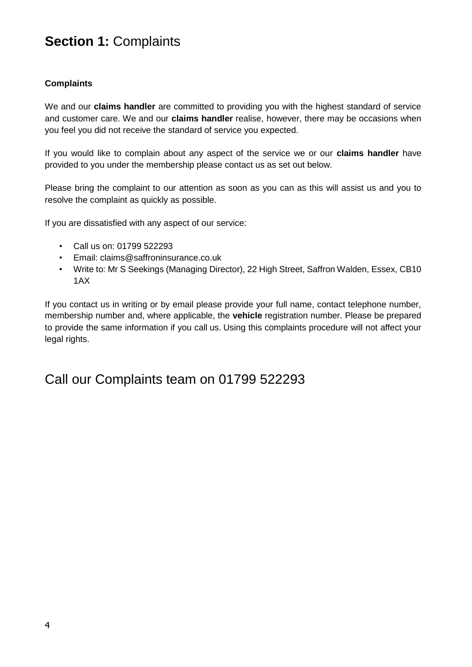## **Section 1:** Complaints

### **Complaints**

We and our **claims handler** are committed to providing you with the highest standard of service and customer care. We and our **claims handler** realise, however, there may be occasions when you feel you did not receive the standard of service you expected.

If you would like to complain about any aspect of the service we or our **claims handler** have provided to you under the membership please contact us as set out below.

Please bring the complaint to our attention as soon as you can as this will assist us and you to resolve the complaint as quickly as possible.

If you are dissatisfied with any aspect of our service:

- Call us on: 01799 522293
- Email: claims@saffroninsurance.co.uk
- Write to: Mr S Seekings (Managing Director), 22 High Street, Saffron Walden, Essex, CB10 1AX

If you contact us in writing or by email please provide your full name, contact telephone number, membership number and, where applicable, the **vehicle** registration number. Please be prepared to provide the same information if you call us. Using this complaints procedure will not affect your legal rights.

### Call our Complaints team on 01799 522293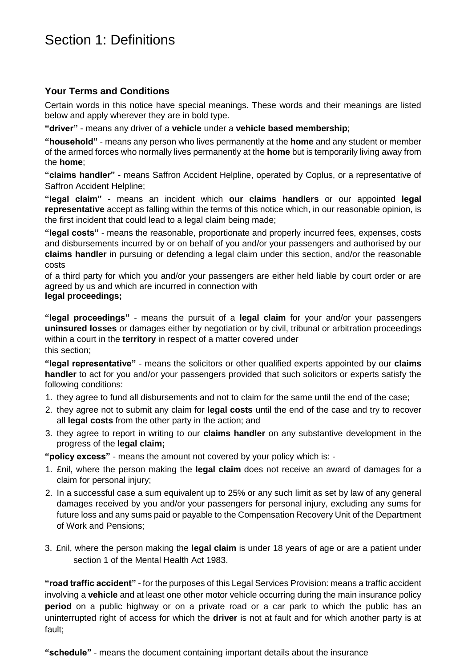### Section 1: Definitions

### **Your Terms and Conditions**

Certain words in this notice have special meanings. These words and their meanings are listed below and apply wherever they are in bold type.

**"driver"** - means any driver of a **vehicle** under a **vehicle based membership**;

**"household"** - means any person who lives permanently at the **home** and any student or member of the armed forces who normally lives permanently at the **home** but is temporarily living away from the **home**;

**"claims handler"** - means Saffron Accident Helpline, operated by Coplus, or a representative of Saffron Accident Helpline;

**"legal claim"** - means an incident which **our claims handlers** or our appointed **legal representative** accept as falling within the terms of this notice which, in our reasonable opinion, is the first incident that could lead to a legal claim being made;

**"legal costs"** - means the reasonable, proportionate and properly incurred fees, expenses, costs and disbursements incurred by or on behalf of you and/or your passengers and authorised by our **claims handler** in pursuing or defending a legal claim under this section, and/or the reasonable costs

of a third party for which you and/or your passengers are either held liable by court order or are agreed by us and which are incurred in connection with

#### **legal proceedings;**

**"legal proceedings"** - means the pursuit of a **legal claim** for your and/or your passengers **uninsured losses** or damages either by negotiation or by civil, tribunal or arbitration proceedings within a court in the **territory** in respect of a matter covered under this section;

**"legal representative"** - means the solicitors or other qualified experts appointed by our **claims handler** to act for you and/or your passengers provided that such solicitors or experts satisfy the following conditions:

- 1. they agree to fund all disbursements and not to claim for the same until the end of the case;
- 2. they agree not to submit any claim for **legal costs** until the end of the case and try to recover all **legal costs** from the other party in the action; and
- 3. they agree to report in writing to our **claims handler** on any substantive development in the progress of the **legal claim;**

**"policy excess"** - means the amount not covered by your policy which is: -

- 1. £nil, where the person making the **legal claim** does not receive an award of damages for a claim for personal injury;
- 2. In a successful case a sum equivalent up to 25% or any such limit as set by law of any general damages received by you and/or your passengers for personal injury, excluding any sums for future loss and any sums paid or payable to the Compensation Recovery Unit of the Department of Work and Pensions;
- 3. £nil, where the person making the **legal claim** is under 18 years of age or are a patient under section 1 of the Mental Health Act 1983.

**"road traffic accident"** - for the purposes of this Legal Services Provision: means a traffic accident involving a **vehicle** and at least one other motor vehicle occurring during the main insurance policy **period** on a public highway or on a private road or a car park to which the public has an uninterrupted right of access for which the **driver** is not at fault and for which another party is at fault;

**"schedule"** - means the document containing important details about the insurance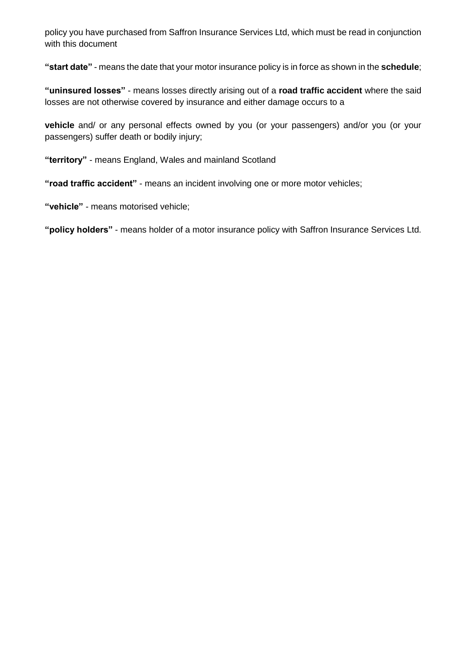policy you have purchased from Saffron Insurance Services Ltd, which must be read in conjunction with this document

**"start date"** - means the date that your motor insurance policy is in force as shown in the **schedule**;

**"uninsured losses"** - means losses directly arising out of a **road traffic accident** where the said losses are not otherwise covered by insurance and either damage occurs to a

**vehicle** and/ or any personal effects owned by you (or your passengers) and/or you (or your passengers) suffer death or bodily injury;

**"territory"** - means England, Wales and mainland Scotland

**"road traffic accident"** - means an incident involving one or more motor vehicles;

**"vehicle"** - means motorised vehicle;

**"policy holders"** - means holder of a motor insurance policy with Saffron Insurance Services Ltd.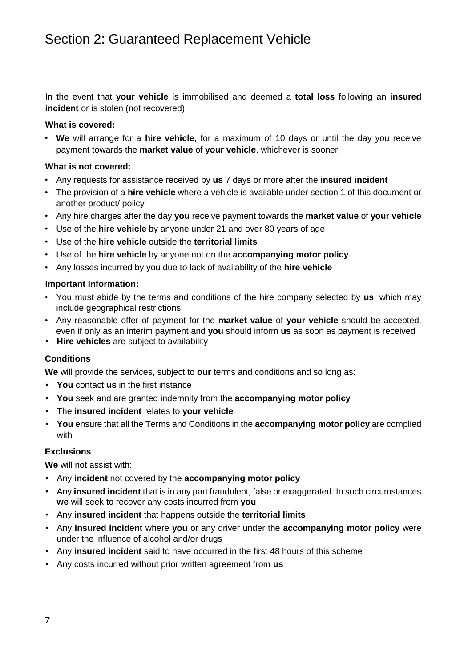In the event that **your vehicle** is immobilised and deemed a **total loss** following an **insured incident** or is stolen (not recovered).

### **What is covered:**

• **We** will arrange for a **hire vehicle**, for a maximum of 10 days or until the day you receive payment towards the **market value** of **your vehicle**, whichever is sooner

### **What is not covered:**

- Any requests for assistance received by **us** 7 days or more after the **insured incident**
- The provision of a **hire vehicle** where a vehicle is available under section 1 of this document or another product/ policy
- Any hire charges after the day **you** receive payment towards the **market value** of **your vehicle**
- Use of the **hire vehicle** by anyone under 21 and over 80 years of age
- Use of the **hire vehicle** outside the **territorial limits**
- Use of the **hire vehicle** by anyone not on the **accompanying motor policy**
- Any losses incurred by you due to lack of availability of the **hire vehicle**

#### **Important Information:**

- You must abide by the terms and conditions of the hire company selected by **us**, which may include geographical restrictions
- Any reasonable offer of payment for the **market value** of **your vehicle** should be accepted, even if only as an interim payment and **you** should inform **us** as soon as payment is received
- **Hire vehicles** are subject to availability

### **Conditions**

**We** will provide the services, subject to **our** terms and conditions and so long as:

- **You** contact **us** in the first instance
- **You** seek and are granted indemnity from the **accompanying motor policy**
- The **insured incident** relates to **your vehicle**
- **You** ensure that all the Terms and Conditions in the **accompanying motor policy** are complied with

#### **Exclusions**

**We** will not assist with:

- Any **incident** not covered by the **accompanying motor policy**
- Any **insured incident** that is in any part fraudulent, false or exaggerated. In such circumstances **we** will seek to recover any costs incurred from **you**
- Any **insured incident** that happens outside the **territorial limits**
- Any **insured incident** where **you** or any driver under the **accompanying motor policy** were under the influence of alcohol and/or drugs
- Any **insured incident** said to have occurred in the first 48 hours of this scheme
- Any costs incurred without prior written agreement from **us**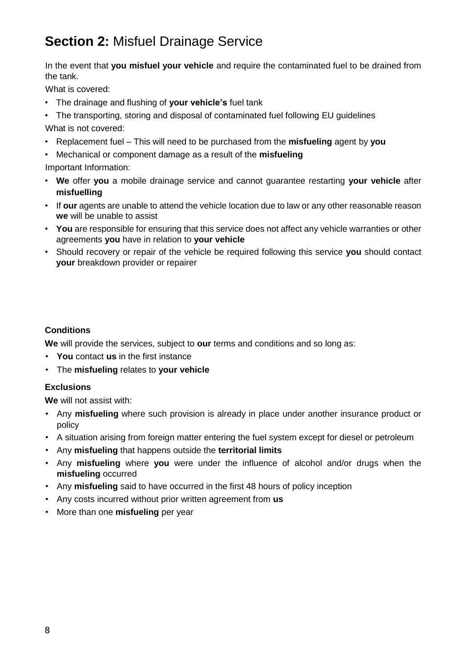## **Section 2:** Misfuel Drainage Service

In the event that **you misfuel your vehicle** and require the contaminated fuel to be drained from the tank.

What is covered:

- The drainage and flushing of **your vehicle's** fuel tank
- The transporting, storing and disposal of contaminated fuel following EU guidelines What is not covered:
- Replacement fuel This will need to be purchased from the **misfueling** agent by **you**
- Mechanical or component damage as a result of the **misfueling**

Important Information:

- **We** offer **you** a mobile drainage service and cannot guarantee restarting **your vehicle** after **misfuelling**
- If **our** agents are unable to attend the vehicle location due to law or any other reasonable reason **we** will be unable to assist
- **You** are responsible for ensuring that this service does not affect any vehicle warranties or other agreements **you** have in relation to **your vehicle**
- Should recovery or repair of the vehicle be required following this service **you** should contact **your** breakdown provider or repairer

### **Conditions**

**We** will provide the services, subject to **our** terms and conditions and so long as:

- **You** contact **us** in the first instance
- The **misfueling** relates to **your vehicle**

### **Exclusions**

**We** will not assist with:

- Any **misfueling** where such provision is already in place under another insurance product or policy
- A situation arising from foreign matter entering the fuel system except for diesel or petroleum
- Any **misfueling** that happens outside the **territorial limits**
- Any **misfueling** where **you** were under the influence of alcohol and/or drugs when the **misfueling** occurred
- Any **misfueling** said to have occurred in the first 48 hours of policy inception
- Any costs incurred without prior written agreement from **us**
- More than one **misfueling** per year